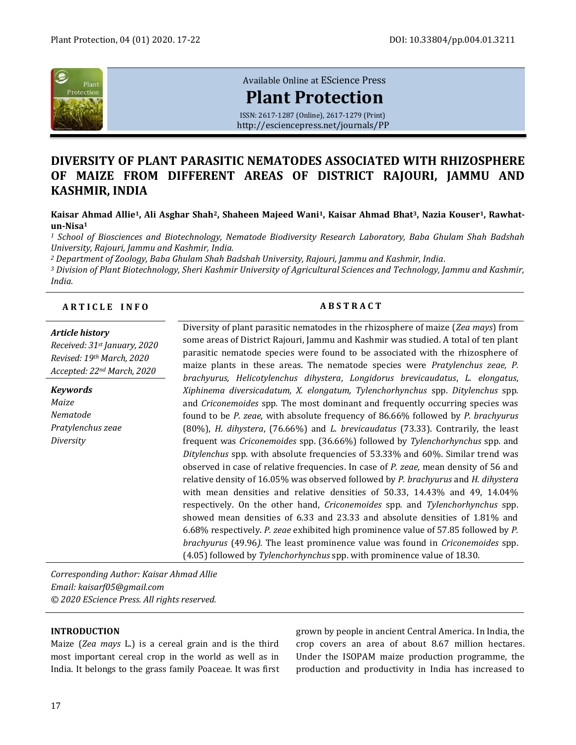

# [Available Online at](http://esciencepress.net/journals/PP) EScience Press

# **[Plant Protection](http://esciencepress.net/journals/PP)**

ISSN: 2617-1287 (Online), 2617-1279 (Print) <http://esciencepress.net/journals/PP>

# **DIVERSITY OF PLANT PARASITIC NEMATODES ASSOCIATED WITH RHIZOSPHERE OF MAIZE FROM DIFFERENT AREAS OF DISTRICT RAJOURI, JAMMU AND KASHMIR, INDIA**

**Kaisar Ahmad Allie1, Ali Asghar Shah2, Shaheen Majeed Wani1, Kaisar Ahmad Bhat3, Nazia Kouser1, Rawhatun-Nisa<sup>1</sup>**

*<sup>1</sup> School of Biosciences and Biotechnology, Nematode Biodiversity Research Laboratory, Baba Ghulam Shah Badshah University, Rajouri, Jammu and Kashmir, India.*

*<sup>2</sup> Department of Zoology, Baba Ghulam Shah Badshah University, Rajouri, Jammu and Kashmir, India.*

*<sup>3</sup> Division of Plant Biotechnology, Sheri Kashmir University of Agricultural Sciences and Technology, Jammu and Kashmir, India.*

# **A R T I C L E I N F O A B S T R A C T**

#### *Article history*

*Received: 31st January, 2020 Revised: 19th March, 2020 Accepted: 22nd March, 2020*

*Keywords Maize Nematode Pratylenchus zeae Diversity*

Diversity of plant parasitic nematodes in the rhizosphere of maize (*Zea mays*) from some areas of District Rajouri, Jammu and Kashmir was studied. A total of ten plant parasitic nematode species were found to be associated with the rhizosphere of maize plants in these areas. The nematode species were *Pratylenchus zeae, P. brachyurus, Helicotylenchus dihystera*, *Longidorus brevicaudatus*, *L. elongatus*, *Xiphinema diversicadatum, X. elongatum, Tylenchorhynchus* spp. *Ditylenchus* spp*.*  and *Criconemoides* spp*.* The most dominant and frequently occurring species was found to be *P. zeae,* with absolute frequency of 86.66% followed by *P. brachyurus*  (80%), *H. dihystera*, (76.66%) and *L. brevicaudatus* (73.33). Contrarily, the least frequent was *Criconemoides* spp. (36.66%) followed by *Tylenchorhynchus* spp. and *Ditylenchus* spp*.* with absolute frequencies of 53.33% and 60%. Similar trend was observed in case of relative frequencies. In case of *P. zeae,* mean density of 56 and relative density of 16.05% was observed followed by *P. brachyurus* and *H. dihystera*  with mean densities and relative densities of 50.33, 14.43% and 49, 14.04% respectively. On the other hand, *Criconemoides* spp*.* and *Tylenchorhynchus* spp. showed mean densities of 6.33 and 23.33 and absolute densities of 1.81% and 6.68% respectively. *P. zeae* exhibited high prominence value of 57.85 followed by *P. brachyurus* (49.96*).* The least prominence value was found in *Criconemoides* spp. (4.05) followed by *Tylenchorhynchus* spp. with prominence value of 18.30.

*Corresponding Author: Kaisar Ahmad Allie Email: kaisarf05@gmail.com © 2020 EScience Press. All rights reserved.*

# **INTRODUCTION**

Maize (*Zea mays* L.) is a cereal grain and is the third most important cereal crop in the world as well as in India. It belongs to the grass family Poaceae*.* It was first grown by people in ancient Central America. In India, the crop covers an area of about 8.67 million hectares. Under the ISOPAM maize production programme, the production and productivity in India has increased to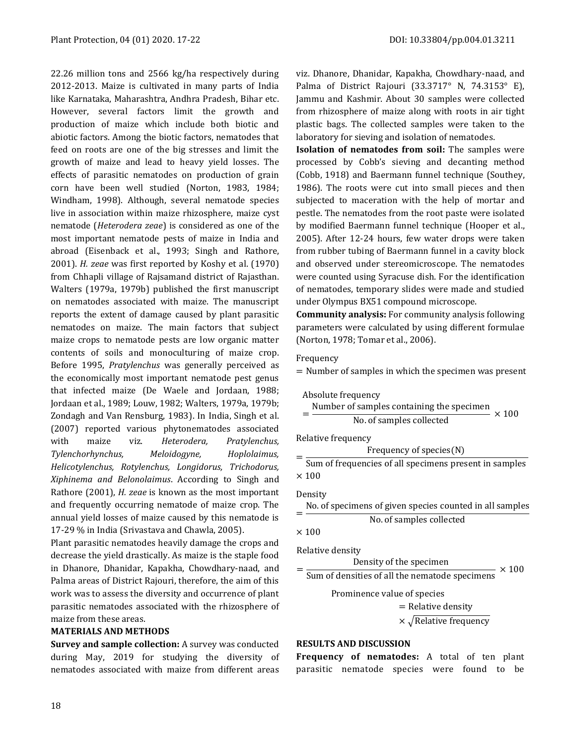22.26 million tons and 2566 kg/ha respectively during 2012-2013. Maize is cultivated in many parts of India like Karnataka, Maharashtra, Andhra Pradesh, Bihar etc. However, several factors limit the growth and production of maize which include both biotic and abiotic factors. Among the biotic factors, nematodes that feed on roots are one of the big stresses and limit the growth of maize and lead to heavy yield losses. The effects of parasitic nematodes on production of grain corn have been well studied (Norton, 1983, 1984; Windham, 1998). Although, several nematode species live in association within maize rhizosphere, maize cyst nematode (*Heterodera zeae*) is considered as one of the most important nematode pests of maize in India and abroad (Eisenback et al., 1993; Singh and Rathore, 2001). *H. zeae* was first reported by Koshy et al. (1970) from Chhapli village of Rajsamand district of Rajasthan. Walters (1979a, 1979b) published the first manuscript on nematodes associated with maize. The manuscript reports the extent of damage caused by plant parasitic nematodes on maize. The main factors that subject maize crops to nematode pests are low organic matter contents of soils and monoculturing of maize crop. Before 1995, *Pratylenchus* was generally perceived as the economically most important nematode pest genus that infected maize (De Waele and Jordaan, 1988; Jordaan et al., 1989; Louw, 1982; Walters, 1979a, 1979b; Zondagh and Van Rensburg, 1983). In India, Singh et al. (2007) reported various phytonematodes associated with maize viz. *Heterodera, Pratylenchus, Tylenchorhynchus, Meloidogyne, Hoplolaimus, Helicotylenchus, Rotylenchus, Longidorus, Trichodorus, Xiphinema and Belonolaimus*. According to Singh and Rathore (2001), *H. zeae* is known as the most important and frequently occurring nematode of maize crop. The annual yield losses of maize caused by this nematode is 17-29 % in India (Srivastava and Chawla, 2005).

Plant parasitic nematodes heavily damage the crops and decrease the yield drastically. As maize is the staple food in Dhanore, Dhanidar, Kapakha, Chowdhary-naad, and Palma areas of District Rajouri, therefore, the aim of this work was to assess the diversity and occurrence of plant parasitic nematodes associated with the rhizosphere of maize from these areas.

#### **MATERIALS AND METHODS**

**Survey and sample collection:** A survey was conducted during May, 2019 for studying the diversity of nematodes associated with maize from different areas

viz. Dhanore, Dhanidar, Kapakha, Chowdhary-naad, and Palma of District Rajouri (33.3717° N, 74.3153° E), Jammu and Kashmir. About 30 samples were collected from rhizosphere of maize along with roots in air tight plastic bags. The collected samples were taken to the laboratory for sieving and isolation of nematodes.

**Isolation of nematodes from soil:** The samples were processed by Cobb's sieving and decanting method (Cobb, 1918) and Baermann funnel technique (Southey, 1986). The roots were cut into small pieces and then subjected to maceration with the help of mortar and pestle. The nematodes from the root paste were isolated by modified Baermann funnel technique (Hooper et al., 2005). After 12-24 hours, few water drops were taken from rubber tubing of Baermann funnel in a cavity block and observed under stereomicroscope. The nematodes were counted using Syracuse dish. For the identification of nematodes, temporary slides were made and studied under Olympus BX51 compound microscope.

**Community analysis:** For community analysis following parameters were calculated by using different formulae (Norton, 1978; Tomar et al., 2006).

#### Frequency

= Number of samples in which the specimen was present

| Absolute frequency<br>Number of samples containing the specimen<br>$\times$ 100<br>No. of samples collected |
|-------------------------------------------------------------------------------------------------------------|
| Relative frequency                                                                                          |
| Frequency of species(N)                                                                                     |
| Sum of frequencies of all specimens present in samples                                                      |
| $\times$ 100                                                                                                |
| Density<br>No. of specimens of given species counted in all samples                                         |
| No. of samples collected                                                                                    |
| $\times$ 100                                                                                                |
| Relative density                                                                                            |
| Density of the specimen<br>$\times$ 100                                                                     |
| Sum of densities of all the nematode specimens                                                              |
| Prominence value of species                                                                                 |
| $=$ Relative density                                                                                        |
| $\times \sqrt{\text{Relative frequency}}$                                                                   |

### **RESULTS AND DISCUSSION**

**Frequency of nematodes:** A total of ten plant parasitic nematode species were found to be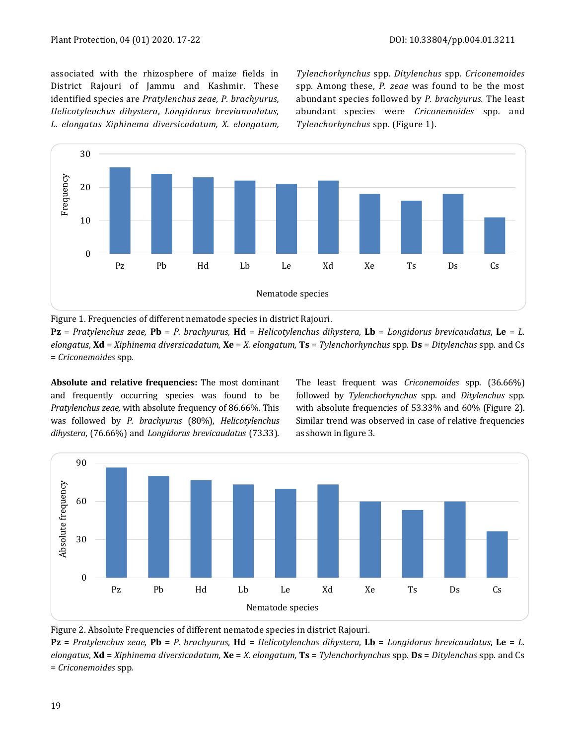associated with the rhizosphere of maize fields in District Rajouri of Jammu and Kashmir. These identified species are *Pratylenchus zeae, P. brachyurus, Helicotylenchus dihystera*, *Longidorus breviannulatus, L. elongatus Xiphinema diversicadatum, X. elongatum,* 

*Tylenchorhynchus* spp. *Ditylenchus* spp*. Criconemoides*  spp*.* Among these, *P. zeae* was found to be the most abundant species followed by *P. brachyurus.* The least abundant species were *Criconemoides* spp*.* and *Tylenchorhynchus* spp. (Figure 1).



Figure 1. Frequencies of different nematode species in district Rajouri.

**Pz** = *Pratylenchus zeae,* **Pb** = *P. brachyurus,* **Hd** = *Helicotylenchus dihystera*, **Lb** = *Longidorus brevicaudatus*, **Le** = *L. elongatus*, **Xd** = *Xiphinema diversicadatum,* **Xe** = *X. elongatum,* **Ts** = *Tylenchorhynchus* spp. **Ds** = *Ditylenchus* spp*.* and Cs = *Criconemoides* spp*.*

**Absolute and relative frequencies:** The most dominant and frequently occurring species was found to be *Pratylenchus zeae,* with absolute frequency of 86.66%. This was followed by *P. brachyurus* (80%), *Helicotylenchus dihystera*, (76.66%) and *Longidorus brevicaudatus* (73.33). The least frequent was *Criconemoides* spp. (36.66%) followed by *Tylenchorhynchus* spp. and *Ditylenchus* spp*.*  with absolute frequencies of 53.33% and 60% (Figure 2). Similar trend was observed in case of relative frequencies as shown in figure 3.



Figure 2. Absolute Frequencies of different nematode species in district Rajouri.

**Pz** = *Pratylenchus zeae,* **Pb** = *P. brachyurus,* **Hd** = *Helicotylenchus dihystera*, **Lb** = *Longidorus brevicaudatus*, **Le** = *L. elongatus*, **Xd** = *Xiphinema diversicadatum,* **Xe** = *X. elongatum,* **Ts** = *Tylenchorhynchus* spp. **Ds** = *Ditylenchus* spp*.* and Cs = *Criconemoides* spp*.*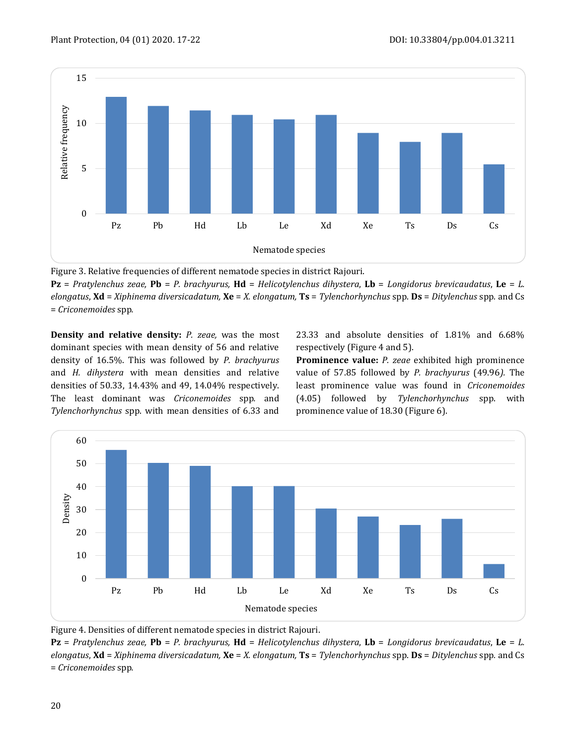

Figure 3. Relative frequencies of different nematode species in district Rajouri.

**Pz** = *Pratylenchus zeae,* **Pb** = *P. brachyurus,* **Hd** = *Helicotylenchus dihystera*, **Lb** = *Longidorus brevicaudatus*, **Le** = *L. elongatus*, **Xd** = *Xiphinema diversicadatum,* **Xe** = *X. elongatum,* **Ts** = *Tylenchorhynchus* spp. **Ds** = *Ditylenchus* spp*.* and Cs = *Criconemoides* spp*.*

**Density and relative density:** *P. zeae,* was the most dominant species with mean density of 56 and relative density of 16.5%. This was followed by *P. brachyurus*  and *H. dihystera* with mean densities and relative densities of 50.33, 14.43% and 49, 14.04% respectively. The least dominant was *Criconemoides* spp*.* and *Tylenchorhynchus* spp. with mean densities of 6.33 and 23.33 and absolute densities of 1.81% and 6.68% respectively (Figure 4 and 5).

**Prominence value:** *P. zeae* exhibited high prominence value of 57.85 followed by *P. brachyurus* (49.96*).* The least prominence value was found in *Criconemoides* (4.05) followed by *Tylenchorhynchus* spp. with prominence value of 18.30 (Figure 6).



Figure 4. Densities of different nematode species in district Rajouri.

**Pz** = *Pratylenchus zeae,* **Pb** = *P. brachyurus,* **Hd** = *Helicotylenchus dihystera*, **Lb** = *Longidorus brevicaudatus*, **Le** = *L. elongatus*, **Xd** = *Xiphinema diversicadatum,* **Xe** = *X. elongatum,* **Ts** = *Tylenchorhynchus* spp. **Ds** = *Ditylenchus* spp*.* and Cs = *Criconemoides* spp*.*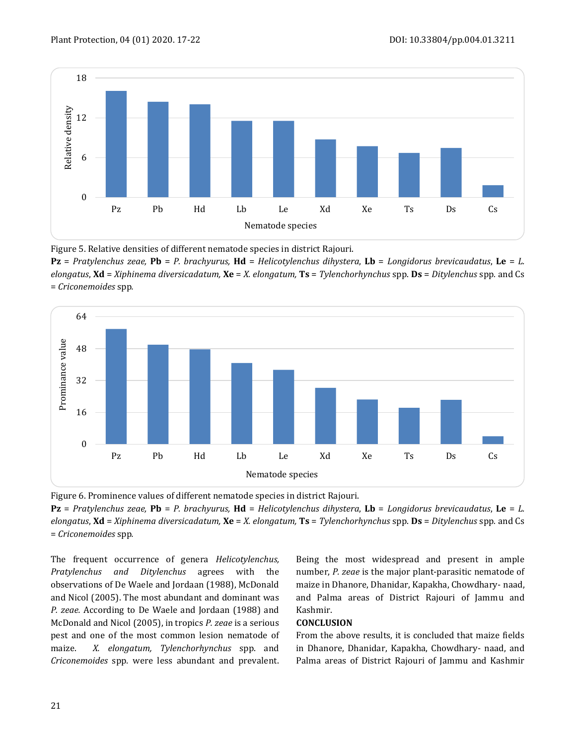

Figure 5. Relative densities of different nematode species in district Rajouri.

**Pz** = *Pratylenchus zeae,* **Pb** = *P. brachyurus,* **Hd** = *Helicotylenchus dihystera*, **Lb** = *Longidorus brevicaudatus*, **Le** = *L. elongatus*, **Xd** = *Xiphinema diversicadatum,* **Xe** = *X. elongatum,* **Ts** = *Tylenchorhynchus* spp. **Ds** = *Ditylenchus* spp*.* and Cs = *Criconemoides* spp*.*





**Pz** = *Pratylenchus zeae,* **Pb** = *P. brachyurus,* **Hd** = *Helicotylenchus dihystera*, **Lb** = *Longidorus brevicaudatus*, **Le** = *L. elongatus*, **Xd** = *Xiphinema diversicadatum,* **Xe** = *X. elongatum,* **Ts** = *Tylenchorhynchus* spp. **Ds** = *Ditylenchus* spp*.* and Cs = *Criconemoides* spp*.*

The frequent occurrence of genera *Helicotylenchus, Pratylenchus and Ditylenchus* agrees with the observations of De Waele and Jordaan (1988), McDonald and Nicol (2005). The most abundant and dominant was *P. zeae.* According to De Waele and Jordaan (1988) and McDonald and Nicol (2005), in tropics *P. zeae* is a serious pest and one of the most common lesion nematode of maize. *X. elongatum, Tylenchorhynchus* spp. and *Criconemoides* spp*.* were less abundant and prevalent.

Being the most widespread and present in ample number, *P. zeae* is the major plant-parasitic nematode of maize in Dhanore, Dhanidar, Kapakha, Chowdhary- naad, and Palma areas of District Rajouri of Jammu and Kashmir.

## **CONCLUSION**

From the above results, it is concluded that maize fields in Dhanore, Dhanidar, Kapakha, Chowdhary- naad, and Palma areas of District Rajouri of Jammu and Kashmir